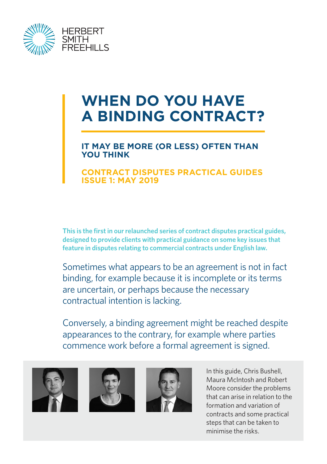

# **WHEN DO YOU HAVE A BINDING CONTRACT?**

#### **IT MAY BE MORE (OR LESS) OFTEN THAN YOU THINK**

#### **CONTRACT DISPUTES PRACTICAL GUIDES ISSUE 1: MAY 2019**

**This is the first in our relaunched series of contract disputes practical guides, designed to provide clients with practical guidance on some key issues that feature in disputes relating to commercial contracts under English law.**

Sometimes what appears to be an agreement is not in fact binding, for example because it is incomplete or its terms are uncertain, or perhaps because the necessary contractual intention is lacking.

Conversely, a binding agreement might be reached despite appearances to the contrary, for example where parties commence work before a formal agreement is signed.







In this guide, Chris Bushell, Maura McIntosh and Robert Moore consider the problems that can arise in relation to the formation and variation of contracts and some practical steps that can be taken to minimise the risks.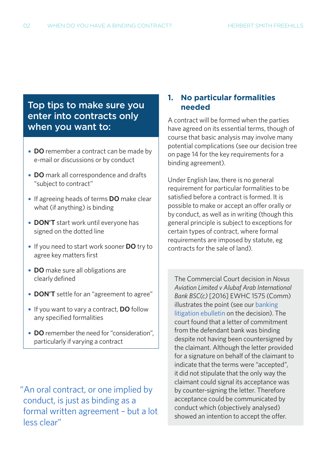## Top tips to make sure you enter into contracts only when you want to:

- **• DO** remember a contract can be made by e-mail or discussions or by conduct
- **• DO** mark all correspondence and drafts "subject to contract"
- **•** If agreeing heads of terms **DO** make clear what (if anything) is binding
- **• DON'T** start work until everyone has signed on the dotted line
- **•** If you need to start work sooner **DO** try to agree key matters first
- **• DO** make sure all obligations are clearly defined
- **• DON'T** settle for an "agreement to agree"
- **•** If you want to vary a contract, **DO** follow any specified formalities
- **• DO** remember the need for "consideration", particularly if varying a contract

 "An oral contract, or one implied by conduct, is just as binding as a formal written agreement – but a lot less clear"

#### **1. No particular formalities needed**

A contract will be formed when the parties have agreed on its essential terms, though of course that basic analysis may involve many potential complications (see our decision tree on page 14 for the key requirements for a binding agreement).

Under English law, there is no general requirement for particular formalities to be satisfied before a contract is formed. It is possible to make or accept an offer orally or by conduct, as well as in writing (though this general principle is subject to exceptions for certain types of contract, where formal requirements are imposed by statute, eg contracts for the sale of land).

The Commercial Court decision in *Novus Aviation Limited v Alubaf Arab International Bank BSC(c)* [2016] EWHC 1575 (Comm) illustrates the point (see our [banking](https://sites-herbertsmithfreehills.vuturevx.com/34/11976/compose-email/commercial-court-finds-commitment-letter-unsigned-by-one-party-to-be-legally-binding.asp)  [litigation ebulletin](https://sites-herbertsmithfreehills.vuturevx.com/34/11976/compose-email/commercial-court-finds-commitment-letter-unsigned-by-one-party-to-be-legally-binding.asp) on the decision). The court found that a letter of commitment from the defendant bank was binding despite not having been countersigned by the claimant. Although the letter provided for a signature on behalf of the claimant to indicate that the terms were "accepted", it did not stipulate that the only way the claimant could signal its acceptance was by counter-signing the letter. Therefore acceptance could be communicated by conduct which (objectively analysed) showed an intention to accept the offer.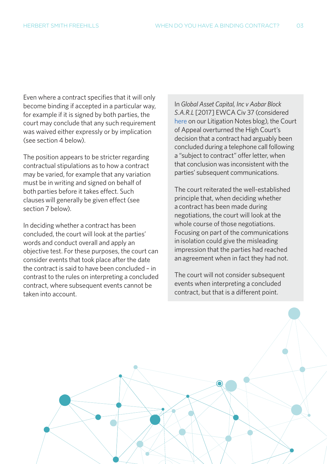Even where a contract specifies that it will only become binding if accepted in a particular way, for example if it is signed by both parties, the court may conclude that any such requirement was waived either expressly or by implication (see section 4 below).

The position appears to be stricter regarding contractual stipulations as to how a contract may be varied, for example that any variation must be in writing and signed on behalf of both parties before it takes effect. Such clauses will generally be given effect (see section 7 below).

In deciding whether a contract has been concluded, the court will look at the parties' words and conduct overall and apply an objective test. For these purposes, the court can consider events that took place after the date the contract is said to have been concluded – in contrast to the rules on interpreting a concluded contract, where subsequent events cannot be taken into account.

In *Global Asset Capital, Inc v Aabar Block S.A.R.L* [2017] EWCA Civ 37 (considered [here](https://hsfnotes.com/litigation/2017/02/06/court-of-appeal-confirms-subsequent-communications-can-be-relevant-to-determining-whether-a-contract-has-been-concluded/) on our Litigation Notes blog), the Court of Appeal overturned the High Court's decision that a contract had arguably been concluded during a telephone call following a "subject to contract" offer letter, when that conclusion was inconsistent with the parties' subsequent communications.

The court reiterated the well-established principle that, when deciding whether a contract has been made during negotiations, the court will look at the whole course of those negotiations. Focusing on part of the communications in isolation could give the misleading impression that the parties had reached an agreement when in fact they had not.

The court will not consider subsequent events when interpreting a concluded contract, but that is a different point.

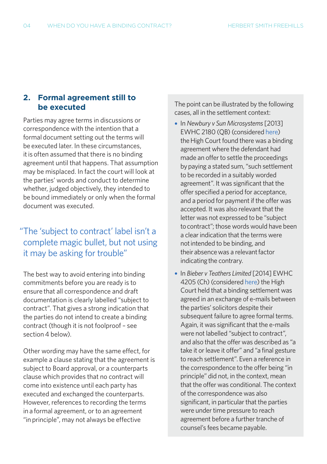#### **2. Formal agreement still to be executed**

Parties may agree terms in discussions or correspondence with the intention that a formal document setting out the terms will be executed later. In these circumstances, it is often assumed that there is no binding agreement until that happens. That assumption may be misplaced. In fact the court will look at the parties' words and conduct to determine whether, judged objectively, they intended to be bound immediately or only when the formal document was executed.

## "The 'subject to contract' label isn't a complete magic bullet, but not using it may be asking for trouble"

The best way to avoid entering into binding commitments before you are ready is to ensure that all correspondence and draft documentation is clearly labelled "subject to contract". That gives a strong indication that the parties do not intend to create a binding contract (though it is not foolproof – see section 4 below).

Other wording may have the same effect, for example a clause stating that the agreement is subject to Board approval, or a counterparts clause which provides that no contract will come into existence until each party has executed and exchanged the counterparts. However, references to recording the terms in a formal agreement, or to an agreement "in principle", may not always be effective

The point can be illustrated by the following cases, all in the settlement context:

- **•** In *Newbury v Sun Microsystems* [2013] EWHC 2180 (QB) (considered [here\)](https://hsfnotes.com/litigation/2013/08/01/high-court-decision-shows-need-to-be-clear-whether-settlement-offer-subject-to-contract/) the High Court found there was a binding agreement where the defendant had made an offer to settle the proceedings by paying a stated sum, "such settlement to be recorded in a suitably worded agreement". It was significant that the offer specified a period for acceptance, and a period for payment if the offer was accepted. It was also relevant that the letter was not expressed to be "subject to contract"; those words would have been a clear indication that the terms were not intended to be binding, and their absence was a relevant factor indicating the contrary.
- **•** In *Bieber v Teathers Limited* [2014] EWHC 4205 (Ch) (considered [here\)](https://hsfnotes.com/litigation/2015/01/09/another-reminder-of-the-need-to-be-clear-whether-settlement-negotiations-are-subject-to-contract/) the High Court held that a binding settlement was agreed in an exchange of e-mails between the parties' solicitors despite their subsequent failure to agree formal terms. Again, it was significant that the e-mails were not labelled "subject to contract", and also that the offer was described as "a take it or leave it offer" and "a final gesture to reach settlement". Even a reference in the correspondence to the offer being "in principle" did not, in the context, mean that the offer was conditional. The context of the correspondence was also significant, in particular that the parties were under time pressure to reach agreement before a further tranche of counsel's fees became payable.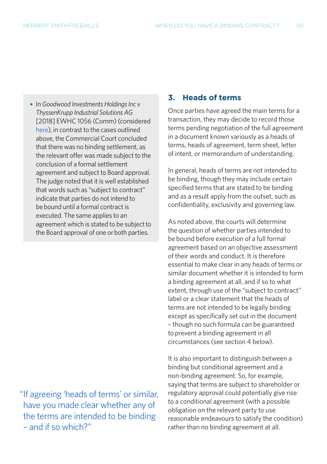**•** In *Goodwood Investments Holdings Inc v ThyssenKrupp Industrial Solutions AG* [2018] EWHC 1056 (Comm) (considered [here\)](https://hsfnotes.com/litigation/2018/05/30/agreement-expressed-to-be-subject-to-board-approval-not-binding-until-approval-given/), in contrast to the cases outlined above, the Commercial Court concluded that there was no binding settlement, as the relevant offer was made subject to the conclusion of a formal settlement agreement and subject to Board approval. The judge noted that it is well established that words such as "subject to contract" indicate that parties do not intend to be bound until a formal contract is executed. The same applies to an agreement which is stated to be subject to the Board approval of one or both parties.

 "If agreeing 'heads of terms' or similar, have you made clear whether any of the terms are intended to be binding – and if so which?"

#### **3. Heads of terms**

Once parties have agreed the main terms for a transaction, they may decide to record those terms pending negotiation of the full agreement in a document known variously as a heads of terms, heads of agreement, term sheet, letter of intent, or memorandum of understanding.

In general, heads of terms are not intended to be binding, though they may include certain specified terms that are stated to be binding and as a result apply from the outset, such as confidentiality, exclusivity and governing law.

As noted above, the courts will determine the question of whether parties intended to be bound before execution of a full formal agreement based on an objective assessment of their words and conduct. It is therefore essential to make clear in any heads of terms or similar document whether it is intended to form a binding agreement at all, and if so to what extent, through use of the "subject to contract" label or a clear statement that the heads of terms are not intended to be legally binding except as specifically set out in the document – though no such formula can be guaranteed to prevent a binding agreement in all circumstances (see section 4 below).

It is also important to distinguish between a binding but conditional agreement and a non-binding agreement. So, for example, saying that terms are subject to shareholder or regulatory approval could potentially give rise to a conditional agreement (with a possible obligation on the relevant party to use reasonable endeavours to satisfy the condition) rather than no binding agreement at all.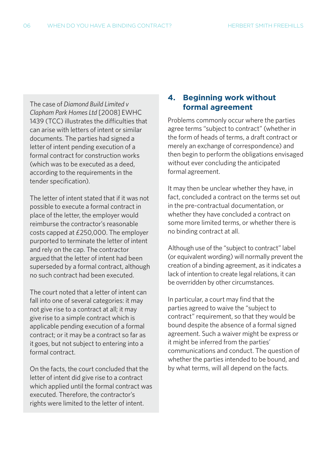The case of *Diamond Build Limited v Clapham Park Homes Ltd* [2008] EWHC 1439 (TCC) illustrates the difficulties that can arise with letters of intent or similar documents. The parties had signed a letter of intent pending execution of a formal contract for construction works (which was to be executed as a deed, according to the requirements in the tender specification).

The letter of intent stated that if it was not possible to execute a formal contract in place of the letter, the employer would reimburse the contractor's reasonable costs capped at £250,000. The employer purported to terminate the letter of intent and rely on the cap. The contractor argued that the letter of intent had been superseded by a formal contract, although no such contract had been executed.

The court noted that a letter of intent can fall into one of several categories: it may not give rise to a contract at all; it may give rise to a simple contract which is applicable pending execution of a formal contract; or it may be a contract so far as it goes, but not subject to entering into a formal contract.

On the facts, the court concluded that the letter of intent did give rise to a contract which applied until the formal contract was executed. Therefore, the contractor's rights were limited to the letter of intent.

#### **4. Beginning work without formal agreement**

Problems commonly occur where the parties agree terms "subject to contract" (whether in the form of heads of terms, a draft contract or merely an exchange of correspondence) and then begin to perform the obligations envisaged without ever concluding the anticipated formal agreement.

It may then be unclear whether they have, in fact, concluded a contract on the terms set out in the pre-contractual documentation, or whether they have concluded a contract on some more limited terms, or whether there is no binding contract at all.

Although use of the "subject to contract" label (or equivalent wording) will normally prevent the creation of a binding agreement, as it indicates a lack of intention to create legal relations, it can be overridden by other circumstances.

In particular, a court may find that the parties agreed to waive the "subject to contract" requirement, so that they would be bound despite the absence of a formal signed agreement. Such a waiver might be express or it might be inferred from the parties' communications and conduct. The question of whether the parties intended to be bound, and by what terms, will all depend on the facts.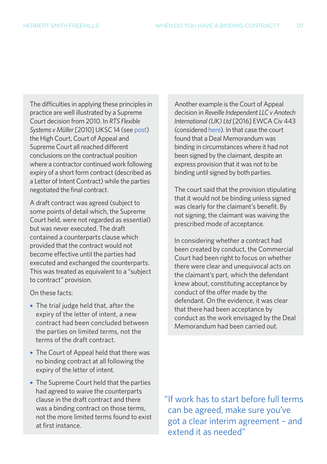The difficulties in applying these principles in practice are well illustrated by a Supreme Court decision from 2010. In *RTS Flexible Systems v Müller* [2010] UKSC 14 (see [post](https://hsfnotes.com/litigation/2010/03/31/supreme-court-rules-contract-exists-subject-contract-provision/)) the High Court, Court of Appeal and Supreme Court all reached different conclusions on the contractual position where a contractor continued work following expiry of a short form contract (described as a Letter of Intent Contract) while the parties negotiated the final contract.

A draft contract was agreed (subject to some points of detail which, the Supreme Court held, were not regarded as essential) but was never executed. The draft contained a counterparts clause which provided that the contract would not become effective until the parties had executed and exchanged the counterparts. This was treated as equivalent to a "subject to contract" provision.

On these facts:

- **•** The trial judge held that, after the expiry of the letter of intent, a new contract had been concluded between the parties on limited terms, not the terms of the draft contract.
- **•** The Court of Appeal held that there was no binding contract at all following the expiry of the letter of intent.
- **•** The Supreme Court held that the parties had agreed to waive the counterparts clause in the draft contract and there was a binding contract on those terms, not the more limited terms found to exist at first instance.

Another example is the Court of Appeal decision in *Reveille Independent LLC v Anotech International (UK) Ltd* [2016] EWCA Civ 443 (considered [here](https://hsfnotes.com/litigation/2016/05/13/court-of-appeal-finds-parties-bound-by-unsigned-agreement-despite-express-term-requiring-execution-by-both-parties/)). In that case the court found that a Deal Memorandum was binding in circumstances where it had not been signed by the claimant, despite an express provision that it was not to be binding until signed by both parties.

The court said that the provision stipulating that it would not be binding unless signed was clearly for the claimant's benefit. By not signing, the claimant was waiving the prescribed mode of acceptance.

In considering whether a contract had been created by conduct, the Commercial Court had been right to focus on whether there were clear and unequivocal acts on the claimant's part, which the defendant knew about, constituting acceptance by conduct of the offer made by the defendant. On the evidence, it was clear that there had been acceptance by conduct as the work envisaged by the Deal Memorandum had been carried out.

 "If work has to start before full terms can be agreed, make sure you've got a clear interim agreement – and extend it as needed"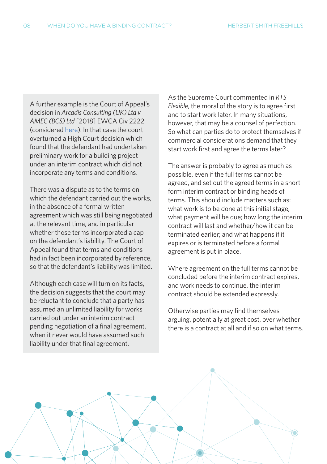A further example is the Court of Appeal's decision in *Arcadis Consulting (UK) Ltd v AMEC (BCS) Ltd* [2018] EWCA Civ 2222 (considered [here\)](https://hsfnotes.com/litigation/2019/01/25/court-of-appeal-finds-interim-contract-incorporated-terms-and-conditions-including-limitation-of-liability/). In that case the court overturned a High Court decision which found that the defendant had undertaken preliminary work for a building project under an interim contract which did not incorporate any terms and conditions.

There was a dispute as to the terms on which the defendant carried out the works, in the absence of a formal written agreement which was still being negotiated at the relevant time, and in particular whether those terms incorporated a cap on the defendant's liability. The Court of Appeal found that terms and conditions had in fact been incorporated by reference, so that the defendant's liability was limited.

Although each case will turn on its facts, the decision suggests that the court may be reluctant to conclude that a party has assumed an unlimited liability for works carried out under an interim contract pending negotiation of a final agreement, when it never would have assumed such liability under that final agreement.

As the Supreme Court commented in *RTS Flexible*, the moral of the story is to agree first and to start work later. In many situations, however, that may be a counsel of perfection. So what can parties do to protect themselves if commercial considerations demand that they start work first and agree the terms later?

The answer is probably to agree as much as possible, even if the full terms cannot be agreed, and set out the agreed terms in a short form interim contract or binding heads of terms. This should include matters such as: what work is to be done at this initial stage; what payment will be due; how long the interim contract will last and whether/how it can be terminated earlier; and what happens if it expires or is terminated before a formal agreement is put in place.

Where agreement on the full terms cannot be concluded before the interim contract expires, and work needs to continue, the interim contract should be extended expressly.

Otherwise parties may find themselves arguing, potentially at great cost, over whether there is a contract at all and if so on what terms.

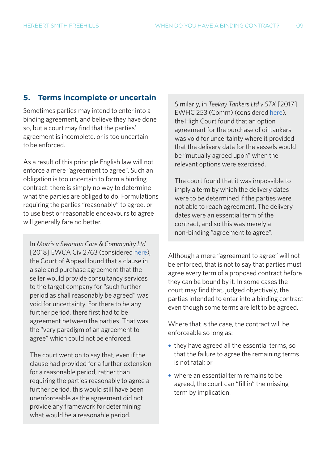#### **5. Terms incomplete or uncertain**

Sometimes parties may intend to enter into a binding agreement, and believe they have done so, but a court may find that the parties' agreement is incomplete, or is too uncertain to be enforced.

As a result of this principle English law will not enforce a mere "agreement to agree". Such an obligation is too uncertain to form a binding contract: there is simply no way to determine what the parties are obliged to do. Formulations requiring the parties "reasonably" to agree, or to use best or reasonable endeavours to agree will generally fare no better.

In *Morris v Swanton Care & Community Ltd* [2018] EWCA Civ 2763 (considered [here\)](https://hsfnotes.com/litigation/2018/12/19/court-of-appeal-holds-spa-earn-out-unenforceable-as-an-agreement-to-agree/), the Court of Appeal found that a clause in a sale and purchase agreement that the seller would provide consultancy services to the target company for "such further period as shall reasonably be agreed" was void for uncertainty. For there to be any further period, there first had to be agreement between the parties. That was the "very paradigm of an agreement to agree" which could not be enforced.

The court went on to say that, even if the clause had provided for a further extension for a reasonable period, rather than requiring the parties reasonably to agree a further period, this would still have been unenforceable as the agreement did not provide any framework for determining what would be a reasonable period.

Similarly, in *Teekay Tankers Ltd v STX* [2017] EWHC 253 (Comm) (considered [here\)](https://hsfnotes.com/litigation/2017/04/06/high-court-finds-option-agreement-void-for-uncertainty-where-it-left-delivery-dates-to-be-agreed/), the High Court found that an option agreement for the purchase of oil tankers was void for uncertainty where it provided that the delivery date for the vessels would be "mutually agreed upon" when the relevant options were exercised.

The court found that it was impossible to imply a term by which the delivery dates were to be determined if the parties were not able to reach agreement. The delivery dates were an essential term of the contract, and so this was merely a non-binding "agreement to agree".

Although a mere "agreement to agree" will not be enforced, that is not to say that parties must agree every term of a proposed contract before they can be bound by it. In some cases the court may find that, judged objectively, the parties intended to enter into a binding contract even though some terms are left to be agreed.

Where that is the case, the contract will be enforceable so long as:

- **•** they have agreed all the essential terms, so that the failure to agree the remaining terms is not fatal; or
- **•** where an essential term remains to be agreed, the court can "fill in" the missing term by implication.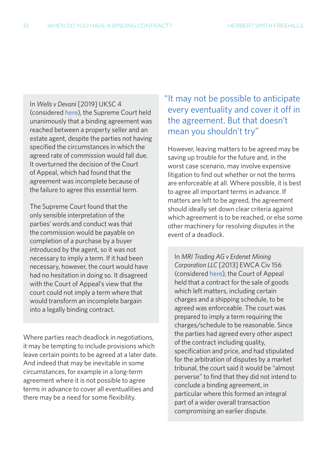In *Wells v Devani* [2019] UKSC 4 (considered [here\)](https://hsfnotes.com/litigation/2019/02/14/supreme-court-overturns-decision-finding-contract-incomplete-and-declining-to-imply-term/), the Supreme Court held unanimously that a binding agreement was reached between a property seller and an estate agent, despite the parties not having specified the circumstances in which the agreed rate of commission would fall due. It overturned the decision of the Court of Appeal, which had found that the agreement was incomplete because of the failure to agree this essential term.

The Supreme Court found that the only sensible interpretation of the parties' words and conduct was that the commission would be payable on completion of a purchase by a buyer introduced by the agent, so it was not necessary to imply a term. If it had been necessary, however, the court would have had no hesitation in doing so. It disagreed with the Court of Appeal's view that the court could not imply a term where that would transform an incomplete bargain into a legally binding contract.

Where parties reach deadlock in negotiations, it may be tempting to include provisions which leave certain points to be agreed at a later date. And indeed that may be inevitable in some circumstances, for example in a long-term agreement where it is not possible to agree terms in advance to cover all eventualities and there may be a need for some flexibility.

## "It may not be possible to anticipate every eventuality and cover it off in the agreement. But that doesn't mean you shouldn't try"

However, leaving matters to be agreed may be saving up trouble for the future and, in the worst case scenario, may involve expensive litigation to find out whether or not the terms are enforceable at all. Where possible, it is best to agree all important terms in advance. If matters are left to be agreed, the agreement should ideally set down clear criteria against which agreement is to be reached, or else some other machinery for resolving disputes in the event of a deadlock.

In *MRI Trading AG v Erdenet Mining Corporation LLC* [2013] EWCA Civ 156 (considered [here](https://hsfnotes.com/litigation/2013/03/25/court-of-appeal-finds-contract-which-left-matters-to-be-agreed-not-unenforceable-for-uncertainty/)), the Court of Appeal held that a contract for the sale of goods which left matters, including certain charges and a shipping schedule, to be agreed was enforceable. The court was prepared to imply a term requiring the charges/schedule to be reasonable. Since the parties had agreed every other aspect of the contract including quality, specification and price, and had stipulated for the arbitration of disputes by a market tribunal, the court said it would be "almost perverse" to find that they did not intend to conclude a binding agreement, in particular where this formed an integral part of a wider overall transaction compromising an earlier dispute.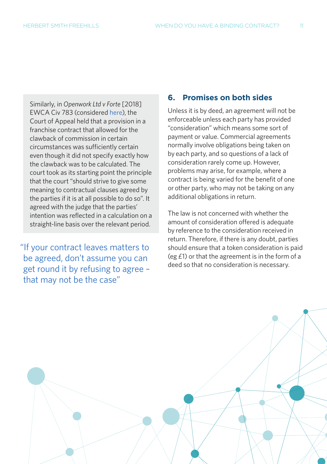Similarly, in *Openwork Ltd v Forte* [2018] EWCA Civ 783 (considered [here\)](https://hsfnotes.com/litigation/2018/05/01/court-of-appeal-decision-suggests-courts-will-be-slow-to-find-contract-terms-void-for-uncertainty/), the Court of Appeal held that a provision in a franchise contract that allowed for the clawback of commission in certain circumstances was sufficiently certain even though it did not specify exactly how the clawback was to be calculated. The court took as its starting point the principle that the court "should strive to give some meaning to contractual clauses agreed by the parties if it is at all possible to do so". It agreed with the judge that the parties' intention was reflected in a calculation on a straight-line basis over the relevant period.

 "If your contract leaves matters to be agreed, don't assume you can get round it by refusing to agree – that may not be the case"

#### **6. Promises on both sides**

Unless it is by deed, an agreement will not be enforceable unless each party has provided "consideration" which means some sort of payment or value. Commercial agreements normally involve obligations being taken on by each party, and so questions of a lack of consideration rarely come up. However, problems may arise, for example, where a contract is being varied for the benefit of one or other party, who may not be taking on any additional obligations in return.

The law is not concerned with whether the amount of consideration offered is adequate by reference to the consideration received in return. Therefore, if there is any doubt, parties should ensure that a token consideration is paid (eg £1) or that the agreement is in the form of a deed so that no consideration is necessary.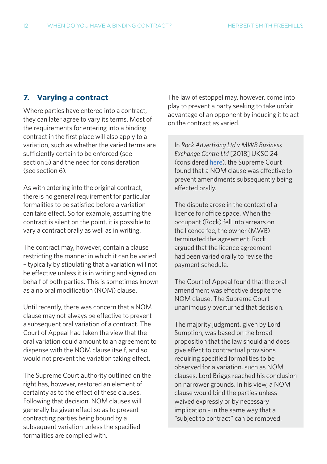#### **7. Varying a contract**

Where parties have entered into a contract, they can later agree to vary its terms. Most of the requirements for entering into a binding contract in the first place will also apply to a variation, such as whether the varied terms are sufficiently certain to be enforced (see section 5) and the need for consideration (see section 6).

As with entering into the original contract, there is no general requirement for particular formalities to be satisfied before a variation can take effect. So for example, assuming the contract is silent on the point, it is possible to vary a contract orally as well as in writing.

The contract may, however, contain a clause restricting the manner in which it can be varied – typically by stipulating that a variation will not be effective unless it is in writing and signed on behalf of both parties. This is sometimes known as a no oral modification (NOM) clause.

Until recently, there was concern that a NOM clause may not always be effective to prevent a subsequent oral variation of a contract. The Court of Appeal had taken the view that the oral variation could amount to an agreement to dispense with the NOM clause itself, and so would not prevent the variation taking effect.

The Supreme Court authority outlined on the right has, however, restored an element of certainty as to the effect of these clauses. Following that decision, NOM clauses will generally be given effect so as to prevent contracting parties being bound by a subsequent variation unless the specified formalities are complied with.

The law of estoppel may, however, come into play to prevent a party seeking to take unfair advantage of an opponent by inducing it to act on the contract as varied.

In *Rock Advertising Ltd v MWB Business Exchange Centre Ltd* [2018] UKSC 24 (considered [here](https://hsfnotes.com/litigation/2018/05/16/supreme-court-breathes-new-life-into-no-oral-modification-clauses/)), the Supreme Court found that a NOM clause was effective to prevent amendments subsequently being effected orally.

The dispute arose in the context of a licence for office space. When the occupant (Rock) fell into arrears on the licence fee, the owner (MWB) terminated the agreement. Rock argued that the licence agreement had been varied orally to revise the payment schedule.

The Court of Appeal found that the oral amendment was effective despite the NOM clause. The Supreme Court unanimously overturned that decision.

The majority judgment, given by Lord Sumption, was based on the broad proposition that the law should and does give effect to contractual provisions requiring specified formalities to be observed for a variation, such as NOM clauses. Lord Briggs reached his conclusion on narrower grounds. In his view, a NOM clause would bind the parties unless waived expressly or by necessary implication – in the same way that a "subject to contract" can be removed.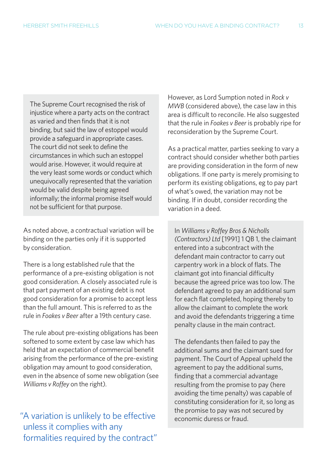The Supreme Court recognised the risk of injustice where a party acts on the contract as varied and then finds that it is not binding, but said the law of estoppel would provide a safeguard in appropriate cases. The court did not seek to define the circumstances in which such an estoppel would arise. However, it would require at the very least some words or conduct which unequivocally represented that the variation would be valid despite being agreed informally; the informal promise itself would not be sufficient for that purpose.

As noted above, a contractual variation will be binding on the parties only if it is supported by consideration.

There is a long established rule that the performance of a pre-existing obligation is not good consideration. A closely associated rule is that part payment of an existing debt is not good consideration for a promise to accept less than the full amount. This is referred to as the rule in *Foakes v Beer* after a 19th century case.

The rule about pre-existing obligations has been softened to some extent by case law which has held that an expectation of commercial benefit arising from the performance of the pre-existing obligation may amount to good consideration, even in the absence of some new obligation (see *Williams v Roffey* on the right).

"A variation is unlikely to be effective economic duress or fraud. unless it complies with any formalities required by the contract"

However, as Lord Sumption noted in *Rock v MWB* (considered above), the case law in this area is difficult to reconcile. He also suggested that the rule in *Foakes v Beer* is probably ripe for reconsideration by the Supreme Court.

As a practical matter, parties seeking to vary a contract should consider whether both parties are providing consideration in the form of new obligations. If one party is merely promising to perform its existing obligations, eg to pay part of what's owed, the variation may not be binding. If in doubt, consider recording the variation in a deed.

In *Williams v Roffey Bros & Nicholls (Contractors) Ltd* [1991] 1 QB 1, the claimant entered into a subcontract with the defendant main contractor to carry out carpentry work in a block of flats. The claimant got into financial difficulty because the agreed price was too low. The defendant agreed to pay an additional sum for each flat completed, hoping thereby to allow the claimant to complete the work and avoid the defendants triggering a time penalty clause in the main contract.

The defendants then failed to pay the additional sums and the claimant sued for payment. The Court of Appeal upheld the agreement to pay the additional sums, finding that a commercial advantage resulting from the promise to pay (here avoiding the time penalty) was capable of constituting consideration for it, so long as the promise to pay was not secured by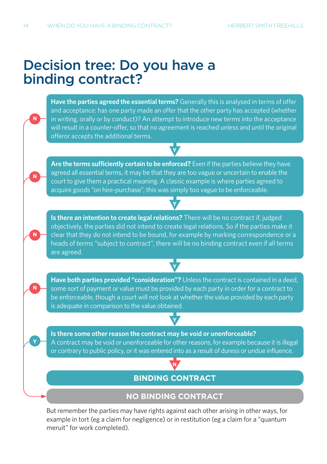**N**

**N**

**N**

**Y**

**N**

## Decision tree: Do you have a binding contract?

**Have the parties agreed the essential terms?** Generally this is analysed in terms of offer and acceptance: has one party made an offer that the other party has accepted (whether in writing, orally or by conduct)? An attempt to introduce new terms into the acceptance will result in a counter-offer, so that no agreement is reached unless and until the original offeror accepts the additional terms.

**Y**

**Are the terms sufficiently certain to be enforced?** Even if the parties believe they have agreed all essential terms, it may be that they are too vague or uncertain to enable the court to give them a practical meaning. A classic example is where parties agreed to acquire goods "on hire-purchase"; this was simply too vague to be enforceable.

**Is there an intention to create legal relations?** There will be no contract if, judged objectively, the parties did not intend to create legal relations. So if the parties make it clear that they do not intend to be bound, for example by marking correspondence or a heads of terms "subject to contract", there will be no binding contract even if all terms are agreed.

**Y**

**Have both parties provided "consideration"?** Unless the contract is contained in a deed, some sort of payment or value must be provided by each party in order for a contract to be enforceable, though a court will not look at whether the value provided by each party is adequate in comparison to the value obtained.

**Y**

**Y**

**Is there some other reason the contract may be void or unenforceable?** A contract may be void or unenforceable for other reasons, for example because it is illegal or contrary to public policy, or it was entered into as a result of duress or undue influence.

### **N BINDING CONTRACT**

#### **NO BINDING CONTRACT**

But remember the parties may have rights against each other arising in other ways, for example in tort (eg a claim for negligence) or in restitution (eg a claim for a "quantum meruit" for work completed).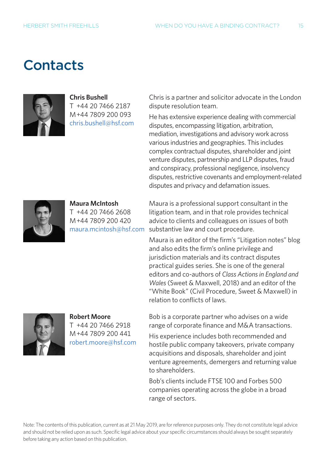## **Contacts**



**Chris Bushell** T +44 20 7466 2187

M+44 7809 200 093 [chris.bushell@hsf.com](mailto:chris.bushell%40hsf.com?subject=) Chris is a partner and solicitor advocate in the London dispute resolution team.

He has extensive experience dealing with commercial disputes, encompassing litigation, arbitration, mediation, investigations and advisory work across various industries and geographies. This includes complex contractual disputes, shareholder and joint venture disputes, partnership and LLP disputes, fraud and conspiracy, professional negligence, insolvency disputes, restrictive covenants and employment-related disputes and privacy and defamation issues.



**Maura McIntosh** T +44 20 7466 2608 M+44 7809 200 420 [maura.mcintosh@hsf.com](mailto:maura.mcintosh%40hsf.com?subject=)

Maura is a professional support consultant in the litigation team, and in that role provides technical advice to clients and colleagues on issues of both substantive law and court procedure.

Maura is an editor of the firm's "Litigation notes" blog and also edits the firm's online privilege and jurisdiction materials and its contract disputes practical guides series. She is one of the general editors and co-authors of *Class Actions in England and Wales* (Sweet & Maxwell, 2018) and an editor of the "White Book" (Civil Procedure, Sweet & Maxwell) in relation to conflicts of laws.



**Robert Moore** T +44 20 7466 2918 M+44 7809 200 441 [robert.moore@hsf.com](mailto:robert.moore%40hsf.com?subject=) Bob is a corporate partner who advises on a wide range of corporate finance and M&A transactions.

His experience includes both recommended and hostile public company takeovers, private company acquisitions and disposals, shareholder and joint venture agreements, demergers and returning value to shareholders.

Bob's clients include FTSE 100 and Forbes 500 companies operating across the globe in a broad range of sectors.

Note: The contents of this publication, current as at 21 May 2019, are for reference purposes only. They do not constitute legal advice and should not be relied upon as such. Specific legal advice about your specific circumstances should always be sought separately before taking any action based on this publication.